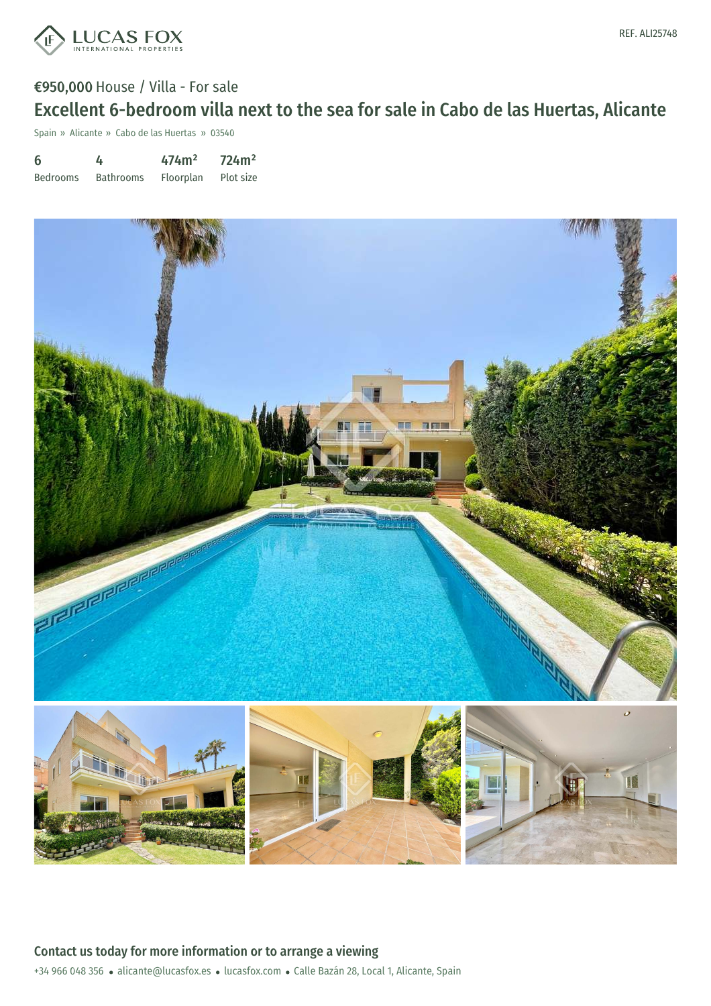

# €950,000 House / Villa - For sale Excellent 6-bedroom villa next to the sea for sale in Cabo de las Huertas, Alicante

Spain » Alicante » Cabo de las Huertas » 03540

| 6               | 4                | 474m <sup>2</sup> | 724m <sup>2</sup> |
|-----------------|------------------|-------------------|-------------------|
| <b>Bedrooms</b> | <b>Bathrooms</b> | Floorplan         | Plot size         |



+34 966 048 356 · alicante@lucasfox.es · lucasfox.com · Calle Bazán 28, Local 1, Alicante, Spain Contact us today for more information or to arrange a viewing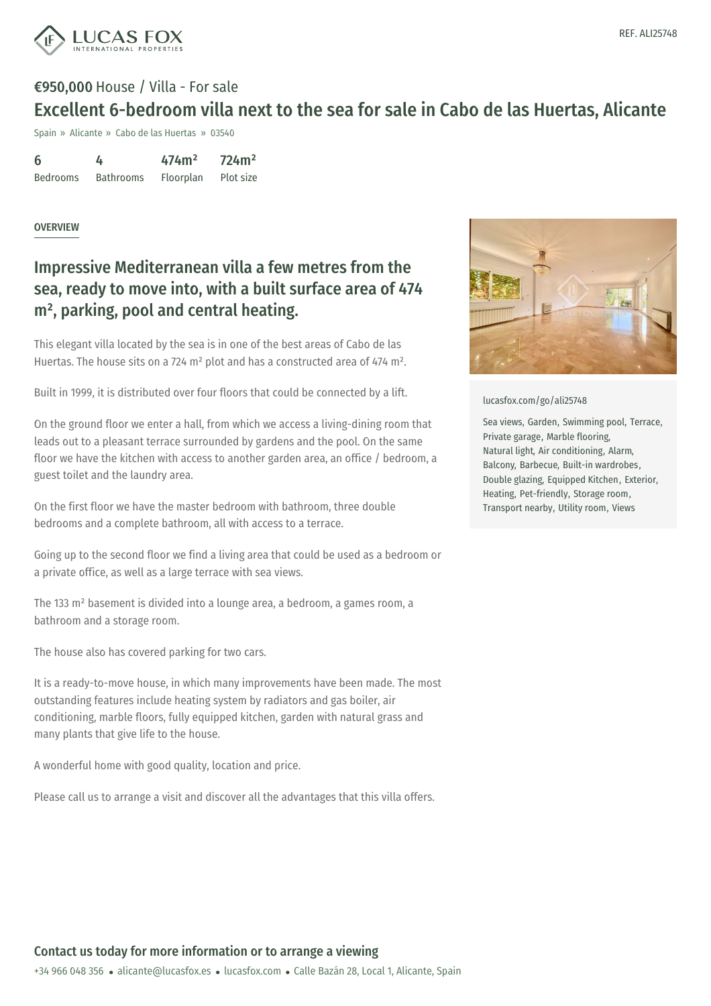

# €950,000 House / Villa - For sale Excellent 6-bedroom villa next to the sea for sale in Cabo de las Huertas, Alicante

Spain » Alicante » Cabo de las Huertas » 03540

6 Bedrooms 4 Bathrooms 474m² Floorplan 724m² Plot size

#### OVERVIEW

### Impressive Mediterranean villa a few metres from the sea, ready to move into, with a built surface area of 474 m² , parking, pool and central heating.

This elegant villa located by the sea is in one of the best areas of Cabo de las Huertas. The house sits on a 724 m² plot and has a constructed area of 474 m².

Built in 1999, it is distributed over four floors that could be connected by a lift.

On the ground floor we enter a hall, from which we access a living-dining room that leads out to a pleasant terrace surrounded by gardens and the pool. On the same floor we have the kitchen with access to another garden area, an office / bedroom, a guest toilet and the laundry area.

On the first floor we have the master bedroom with bathroom, three double bedrooms and a complete bathroom, all with access to a terrace.

Going up to the second floor we find a living area that could be used as a bedroom or a private office, as well as a large terrace with sea views.

The 133 m² basement is divided into a lounge area, a bedroom, a games room, a bathroom and a storage room.

The house also has covered parking for two cars.

It is a ready-to-move house, in which many improvements have been made. The most outstanding features include heating system by radiators and gas boiler, air conditioning, marble floors, fully equipped kitchen, garden with natural grass and many plants that give life to the house.

A wonderful home with good quality, location and price.

Please call us to arrange a visit and discover all the advantages that this villa offers.



[lucasfox.com/go/ali25748](https://www.lucasfox.com/go/ali25748)

Sea views, Garden, Swimming pool, Terrace, Private garage, Marble flooring, Natural light, Air conditioning, Alarm, Balcony, Barbecue, Built-in wardrobes, Double glazing, Equipped Kitchen, Exterior, Heating, Pet-friendly, Storage room, Transport nearby, Utility room, Views